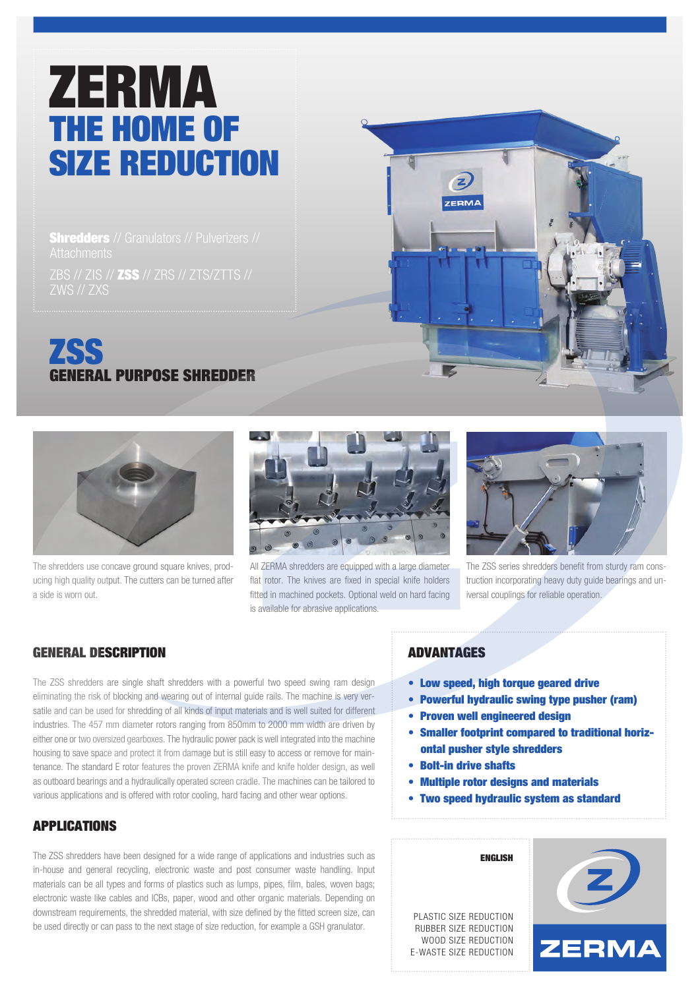# ZERMA THE HOME OF SIZE REDUCTION

**Shredders** // Granulators // Pulverizers // ZBS // ZIS // ZSS // ZRS // ZTS/ZTTS // ZWS // ZXS





All ZERMA shredders are equipped with a large diameter flat rotor. The knives are fixed in special knife holders fitted in machined pockets. Optional weld on hard facing is available for abrasive applications.



The ZSS series shredders benefit from sturdy ram construction incorporating heavy duty guide bearings and universal couplings for reliable operation.

## GENERAL DESCRIPTION

a side is worn out.

The shredders use concave ground square knives, producing high quality output. The cutters can be turned after

The ZSS shredders are single shaft shredders with a powerful two speed swing ram design eliminating the risk of blocking and wearing out of internal guide rails. The machine is very versatile and can be used for shredding of all kinds of input materials and is well suited for different industries. The 457 mm diameter rotors ranging from 850mm to 2000 mm width are driven by either one or two oversized gearboxes. The hydraulic power pack is well integrated into the machine housing to save space and protect it from damage but is still easy to access or remove for maintenance. The standard E rotor features the proven ZERMA knife and knife holder design, as well as outboard bearings and a hydraulically operated screen cradle. The machines can be tailored to various applications and is offered with rotor cooling, hard facing and other wear options.

## APPLICATIONS

The ZSS shredders have been designed for a wide range of applications and industries such as in-house and general recycling, electronic waste and post consumer waste handling. Input materials can be all types and forms of plastics such as lumps, pipes, film, bales, woven bags; electronic waste like cables and ICBs, paper, wood and other organic materials. Depending on downstream requirements, the shredded material, with size defined by the fitted screen size, can be used directly or can pass to the next stage of size reduction, for example a GSH granulator.

#### ADVANTAGES

 $\mathbf{z}$ **ZERMA** 

- Low speed, high torque geared drive
- Powerful hydraulic swing type pusher (ram)
- Proven well engineered design
- Smaller footprint compared to traditional horiz ontal pusher style shredders
- Bolt-in drive shafts
- Multiple rotor designs and materials

ENGLISH

• Two speed hydraulic system as standard

PLASTIC SIZE REDUCTION RUBBER SIZE REDUCTION WOOD SIZE REDUCTION E-WASTE SIZE REDUCTION